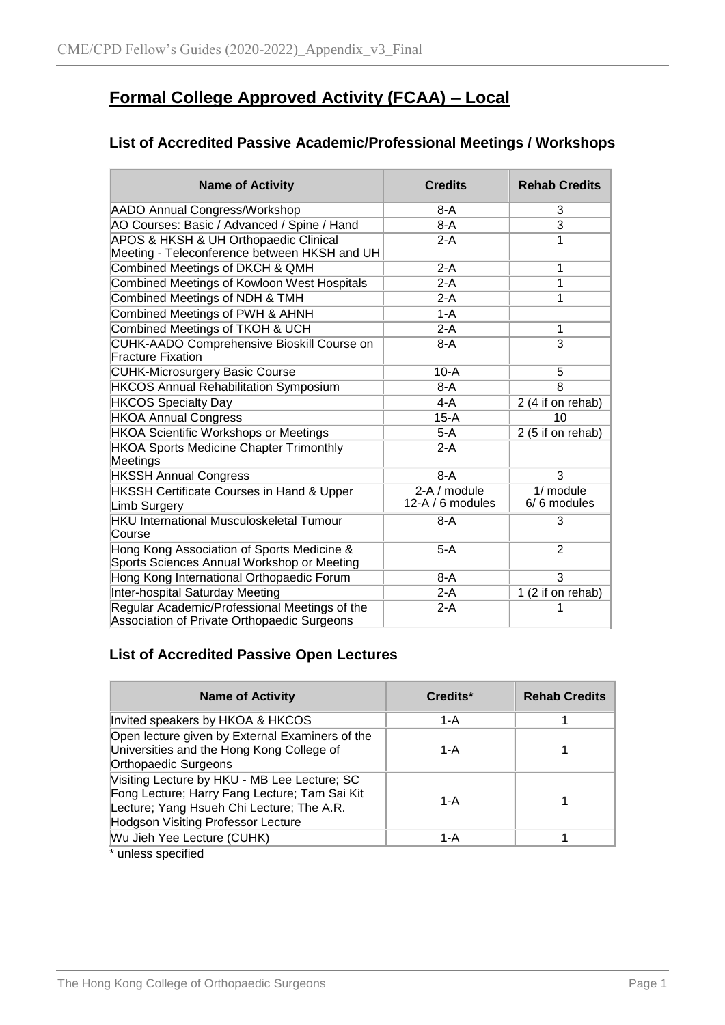# **Formal College Approved Activity (FCAA) – Local**

### **List of Accredited Passive Academic/Professional Meetings / Workshops**

| <b>Name of Activity</b>                                                                      | <b>Credits</b>   | <b>Rehab Credits</b> |  |
|----------------------------------------------------------------------------------------------|------------------|----------------------|--|
| <b>AADO Annual Congress/Workshop</b>                                                         | $8-A$            | 3                    |  |
| AO Courses: Basic / Advanced / Spine / Hand                                                  | $8-A$            | $\overline{3}$       |  |
| APOS & HKSH & UH Orthopaedic Clinical                                                        | $2-A$            | 1                    |  |
| Meeting - Teleconference between HKSH and UH                                                 |                  |                      |  |
| Combined Meetings of DKCH & QMH                                                              | $2-A$            | 1                    |  |
| Combined Meetings of Kowloon West Hospitals                                                  | $2-A$            | 1                    |  |
| Combined Meetings of NDH & TMH                                                               | $2-A$            | 1                    |  |
| Combined Meetings of PWH & AHNH                                                              | $1-A$            |                      |  |
| Combined Meetings of TKOH & UCH                                                              | $2-A$            | 1                    |  |
| CUHK-AADO Comprehensive Bioskill Course on<br><b>Fracture Fixation</b>                       | $8-A$            | 3                    |  |
| <b>CUHK-Microsurgery Basic Course</b>                                                        | $10-A$           | 5                    |  |
| <b>HKCOS Annual Rehabilitation Symposium</b>                                                 | $8-A$            | 8                    |  |
| <b>HKCOS Specialty Day</b>                                                                   | $4-A$            | 2 (4 if on rehab)    |  |
| <b>HKOA Annual Congress</b>                                                                  | 15-A             | 10                   |  |
| <b>HKOA Scientific Workshops or Meetings</b>                                                 | $5-A$            | 2 (5 if on rehab)    |  |
| <b>HKOA Sports Medicine Chapter Trimonthly</b><br>Meetings                                   | $2-A$            |                      |  |
| <b>HKSSH Annual Congress</b>                                                                 | $8-A$            | $\overline{3}$       |  |
| HKSSH Certificate Courses in Hand & Upper                                                    | 2-A / module     | $1/m$ odule          |  |
| <b>Limb Surgery</b>                                                                          | 12-A / 6 modules | $6/6$ modules        |  |
| <b>HKU International Musculoskeletal Tumour</b>                                              | $8-A$            | 3                    |  |
| Course                                                                                       |                  |                      |  |
| Hong Kong Association of Sports Medicine &<br>Sports Sciences Annual Workshop or Meeting     | $5-A$            | 2                    |  |
| Hong Kong International Orthopaedic Forum                                                    | $8-A$            | 3                    |  |
| Inter-hospital Saturday Meeting                                                              | $2-A$            | 1 (2 if on rehab)    |  |
| Regular Academic/Professional Meetings of the<br>Association of Private Orthopaedic Surgeons | $2-A$            |                      |  |

### **List of Accredited Passive Open Lectures**

| <b>Name of Activity</b>                                                                                                                                                                 | Credits* | <b>Rehab Credits</b> |
|-----------------------------------------------------------------------------------------------------------------------------------------------------------------------------------------|----------|----------------------|
| Invited speakers by HKOA & HKCOS                                                                                                                                                        | $1-A$    |                      |
| Open lecture given by External Examiners of the<br>Universities and the Hong Kong College of<br>Orthopaedic Surgeons                                                                    | 1-A      |                      |
| Visiting Lecture by HKU - MB Lee Lecture; SC<br>Fong Lecture; Harry Fang Lecture; Tam Sai Kit<br>Lecture; Yang Hsueh Chi Lecture; The A.R.<br><b>Hodgson Visiting Professor Lecture</b> | $1-A$    |                      |
| Wu Jieh Yee Lecture (CUHK)                                                                                                                                                              | 1-A      |                      |

\* unless specified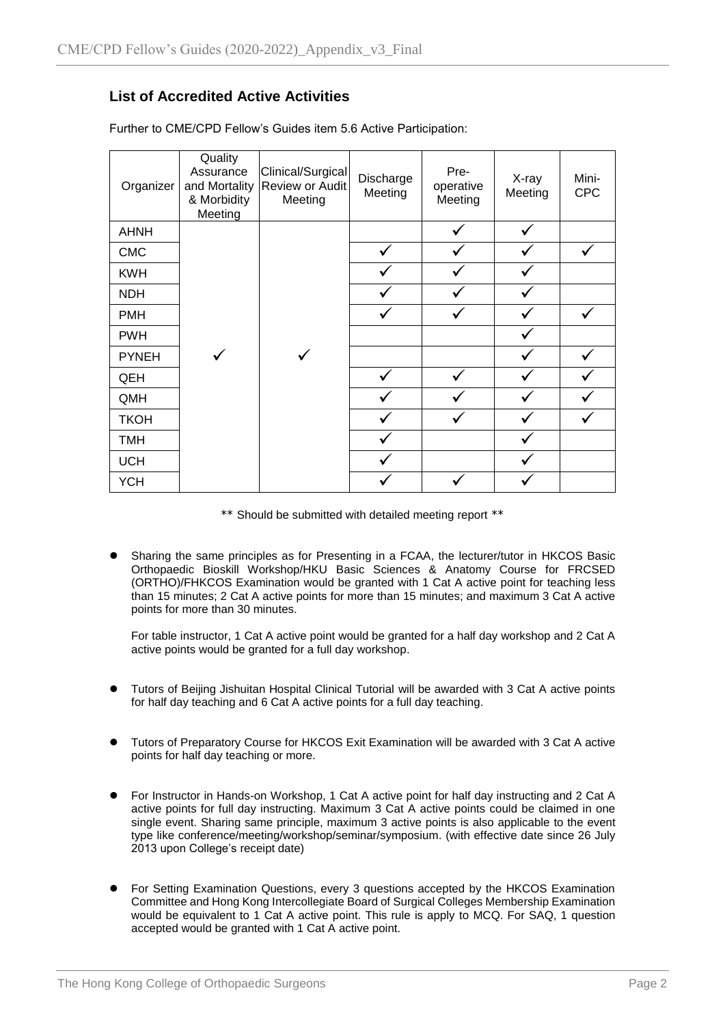### **List of Accredited Active Activities**

| Organizer    | Quality<br>Assurance<br>and Mortality<br>& Morbidity<br>Meeting | Clinical/Surgical<br>Review or Audit<br>Meeting | Discharge<br>Meeting | Pre-<br>operative<br>Meeting | X-ray<br>Meeting | Mini-<br><b>CPC</b> |
|--------------|-----------------------------------------------------------------|-------------------------------------------------|----------------------|------------------------------|------------------|---------------------|
| <b>AHNH</b>  |                                                                 |                                                 |                      |                              |                  |                     |
| <b>CMC</b>   |                                                                 |                                                 |                      |                              |                  | ✓                   |
| <b>KWH</b>   |                                                                 |                                                 |                      |                              |                  |                     |
| <b>NDH</b>   |                                                                 |                                                 |                      |                              |                  |                     |
| <b>PMH</b>   |                                                                 |                                                 |                      |                              |                  |                     |
| <b>PWH</b>   |                                                                 |                                                 |                      |                              |                  |                     |
| <b>PYNEH</b> |                                                                 |                                                 |                      |                              |                  | $\checkmark$        |
| QEH          |                                                                 |                                                 |                      |                              |                  |                     |
| QMH          |                                                                 |                                                 |                      |                              |                  |                     |
| <b>TKOH</b>  |                                                                 |                                                 |                      |                              |                  |                     |
| <b>TMH</b>   |                                                                 |                                                 |                      |                              |                  |                     |
| <b>UCH</b>   |                                                                 |                                                 |                      |                              |                  |                     |
| <b>YCH</b>   |                                                                 |                                                 |                      |                              |                  |                     |

Further to CME/CPD Fellow's Guides item 5.6 Active Participation:

\*\* Should be submitted with detailed meeting report \*\*

 Sharing the same principles as for Presenting in a FCAA, the lecturer/tutor in HKCOS Basic Orthopaedic Bioskill Workshop/HKU Basic Sciences & Anatomy Course for FRCSED (ORTHO)/FHKCOS Examination would be granted with 1 Cat A active point for teaching less than 15 minutes; 2 Cat A active points for more than 15 minutes; and maximum 3 Cat A active points for more than 30 minutes.

For table instructor, 1 Cat A active point would be granted for a half day workshop and 2 Cat A active points would be granted for a full day workshop.

- Tutors of Beijing Jishuitan Hospital Clinical Tutorial will be awarded with 3 Cat A active points for half day teaching and 6 Cat A active points for a full day teaching.
- Tutors of Preparatory Course for HKCOS Exit Examination will be awarded with 3 Cat A active points for half day teaching or more.
- For Instructor in Hands-on Workshop, 1 Cat A active point for half day instructing and 2 Cat A active points for full day instructing. Maximum 3 Cat A active points could be claimed in one single event. Sharing same principle, maximum 3 active points is also applicable to the event type like conference/meeting/workshop/seminar/symposium. (with effective date since 26 July 2013 upon College's receipt date)
- For Setting Examination Questions, every 3 questions accepted by the HKCOS Examination Committee and Hong Kong Intercollegiate Board of Surgical Colleges Membership Examination would be equivalent to 1 Cat A active point. This rule is apply to MCQ. For SAQ, 1 question accepted would be granted with 1 Cat A active point.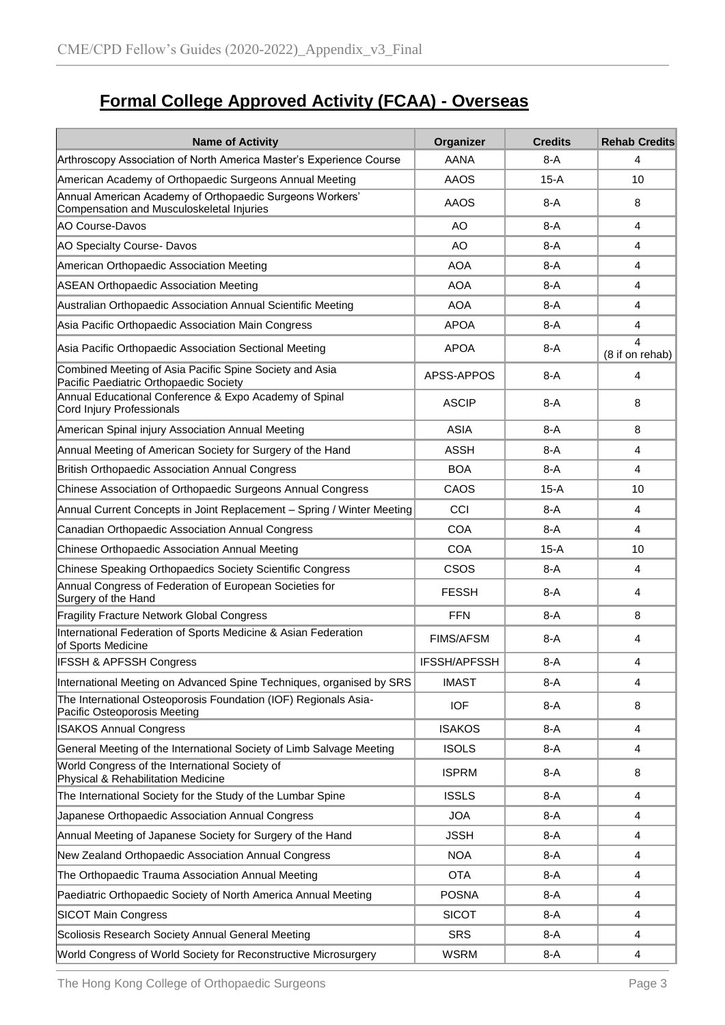# **Formal College Approved Activity (FCAA) - Overseas**

| <b>Name of Activity</b>                                                                               | Organizer           | <b>Credits</b> | <b>Rehab Credits</b> |
|-------------------------------------------------------------------------------------------------------|---------------------|----------------|----------------------|
| Arthroscopy Association of North America Master's Experience Course                                   | AANA                | $8-A$          | 4                    |
| American Academy of Orthopaedic Surgeons Annual Meeting                                               | <b>AAOS</b>         | 15-A           | 10                   |
| Annual American Academy of Orthopaedic Surgeons Workers'<br>Compensation and Musculoskeletal Injuries | <b>AAOS</b>         | $8-A$          | 8                    |
| <b>AO Course-Davos</b>                                                                                | AO                  | $8-A$          | 4                    |
| AO Specialty Course- Davos                                                                            | AO                  | $8-A$          | 4                    |
| American Orthopaedic Association Meeting                                                              | <b>AOA</b>          | 8-A            | 4                    |
| <b>ASEAN Orthopaedic Association Meeting</b>                                                          | <b>AOA</b>          | $8-A$          | 4                    |
| Australian Orthopaedic Association Annual Scientific Meeting                                          | <b>AOA</b>          | $8-A$          | 4                    |
| Asia Pacific Orthopaedic Association Main Congress                                                    | <b>APOA</b>         | $8-A$          | 4                    |
| Asia Pacific Orthopaedic Association Sectional Meeting                                                | <b>APOA</b>         | 8-A            | 4<br>(8 if on rehab) |
| Combined Meeting of Asia Pacific Spine Society and Asia<br>Pacific Paediatric Orthopaedic Society     | APSS-APPOS          | $8-A$          | 4                    |
| Annual Educational Conference & Expo Academy of Spinal<br>Cord Injury Professionals                   | <b>ASCIP</b>        | $8-A$          | 8                    |
| American Spinal injury Association Annual Meeting                                                     | <b>ASIA</b>         | $8-A$          | 8                    |
| Annual Meeting of American Society for Surgery of the Hand                                            | <b>ASSH</b>         | $8-A$          | 4                    |
| <b>British Orthopaedic Association Annual Congress</b>                                                | <b>BOA</b>          | $8-A$          | 4                    |
| Chinese Association of Orthopaedic Surgeons Annual Congress                                           | CAOS                | $15-A$         | 10                   |
| Annual Current Concepts in Joint Replacement - Spring / Winter Meeting                                | CCI                 | $8-A$          | 4                    |
| Canadian Orthopaedic Association Annual Congress                                                      | <b>COA</b>          | $8-A$          | 4                    |
| Chinese Orthopaedic Association Annual Meeting                                                        | <b>COA</b>          | $15-A$         | 10                   |
| Chinese Speaking Orthopaedics Society Scientific Congress                                             | <b>CSOS</b>         | $8-A$          | 4                    |
| Annual Congress of Federation of European Societies for<br>Surgery of the Hand                        | <b>FESSH</b>        | $8-A$          | 4                    |
| Fragility Fracture Network Global Congress                                                            | <b>FFN</b>          | $8-A$          | 8                    |
| International Federation of Sports Medicine & Asian Federation<br>of Sports Medicine                  | <b>FIMS/AFSM</b>    | $8-A$          | 4                    |
| <b>IFSSH &amp; APFSSH Congress</b>                                                                    | <b>IFSSH/APFSSH</b> | $8-A$          | 4                    |
| International Meeting on Advanced Spine Techniques, organised by SRS                                  | <b>IMAST</b>        | $8-A$          | 4                    |
| The International Osteoporosis Foundation (IOF) Regionals Asia-<br>Pacific Osteoporosis Meeting       | <b>IOF</b>          | $8-A$          | 8                    |
| <b>ISAKOS Annual Congress</b>                                                                         | <b>ISAKOS</b>       | $8-A$          | 4                    |
| General Meeting of the International Society of Limb Salvage Meeting                                  | <b>ISOLS</b>        | $8-A$          | 4                    |
| World Congress of the International Society of<br>Physical & Rehabilitation Medicine                  | <b>ISPRM</b>        | $8-A$          | 8                    |
| The International Society for the Study of the Lumbar Spine                                           | <b>ISSLS</b>        | $8-A$          | 4                    |
| Japanese Orthopaedic Association Annual Congress                                                      | <b>JOA</b>          | 8-A            | 4                    |
| Annual Meeting of Japanese Society for Surgery of the Hand                                            | <b>JSSH</b>         | $8-A$          | 4                    |
| New Zealand Orthopaedic Association Annual Congress                                                   | <b>NOA</b>          | $8-A$          | 4                    |
| The Orthopaedic Trauma Association Annual Meeting                                                     | <b>OTA</b>          | $8-A$          | 4                    |
| Paediatric Orthopaedic Society of North America Annual Meeting                                        | <b>POSNA</b>        | $8-A$          | 4                    |
| <b>SICOT Main Congress</b>                                                                            | <b>SICOT</b>        | $8-A$          | 4                    |
| Scoliosis Research Society Annual General Meeting                                                     | <b>SRS</b>          | $8-A$          | 4                    |
| World Congress of World Society for Reconstructive Microsurgery                                       | <b>WSRM</b>         | $8-A$          | 4                    |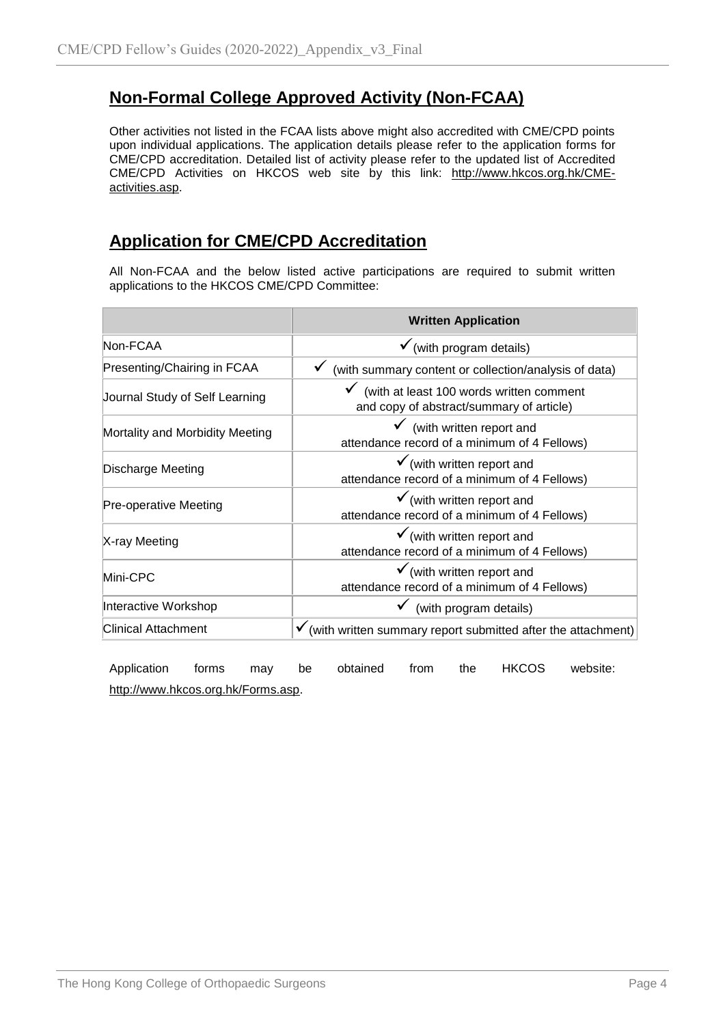## **Non-Formal College Approved Activity (Non-FCAA)**

Other activities not listed in the FCAA lists above might also accredited with CME/CPD points upon individual applications. The application details please refer to the application forms for CME/CPD accreditation. Detailed list of activity please refer to the updated list of Accredited CME/CPD Activities on HKCOS web site by this link: [http://www.hkcos.org.hk/CME](http://www.hkcos.org.hk/CME-activities.asp)[activities.asp.](http://www.hkcos.org.hk/CME-activities.asp)

## **Application for CME/CPD Accreditation**

All Non-FCAA and the below listed active participations are required to submit written applications to the HKCOS CME/CPD Committee:

|                                 | <b>Written Application</b>                                                                        |
|---------------------------------|---------------------------------------------------------------------------------------------------|
| Non-FCAA                        | $\checkmark$ (with program details)                                                               |
| Presenting/Chairing in FCAA     | (with summary content or collection/analysis of data)                                             |
| Journal Study of Self Learning  | $\checkmark$ (with at least 100 words written comment<br>and copy of abstract/summary of article) |
| Mortality and Morbidity Meeting | $\checkmark$ (with written report and<br>attendance record of a minimum of 4 Fellows)             |
| Discharge Meeting               | $\checkmark$ (with written report and<br>attendance record of a minimum of 4 Fellows)             |
| Pre-operative Meeting           | $\checkmark$ (with written report and<br>attendance record of a minimum of 4 Fellows)             |
| X-ray Meeting                   | $\checkmark$ (with written report and<br>attendance record of a minimum of 4 Fellows)             |
| Mini-CPC                        | $\checkmark$ (with written report and<br>attendance record of a minimum of 4 Fellows)             |
| Interactive Workshop            | $\checkmark$ (with program details)                                                               |
| <b>Clinical Attachment</b>      | $\checkmark$ (with written summary report submitted after the attachment)                         |

Application forms may be obtained from the HKCOS website: [http://www.hkcos.org.hk/Forms.asp.](http://www.hkcos.org.hk/Forms.asp)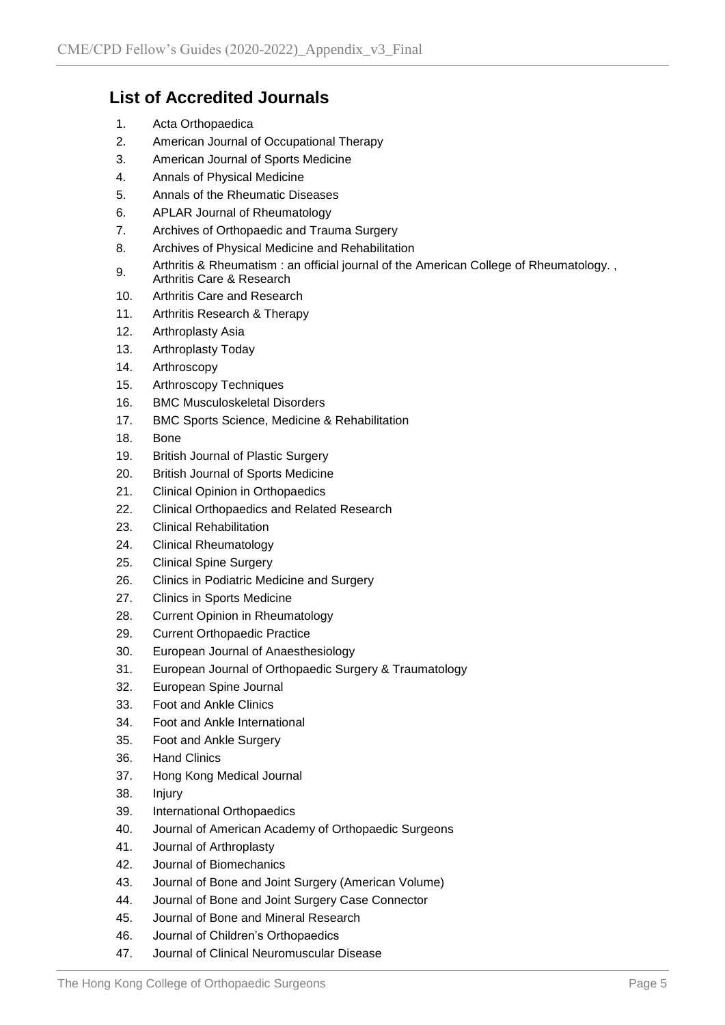## **List of Accredited Journals**

- 1. Acta Orthopaedica
- 2. American Journal of Occupational Therapy
- 3. American Journal of Sports Medicine
- 4. Annals of Physical Medicine
- 5. Annals of the Rheumatic Diseases
- 6. APLAR Journal of Rheumatology
- 7. Archives of Orthopaedic and Trauma Surgery
- 8. Archives of Physical Medicine and Rehabilitation
- 9. Arthritis & Rheumatism : an official journal of the American College of Rheumatology. , Arthritis Care & Research
- 10. Arthritis Care and Research
- 11. Arthritis Research & Therapy
- 12. Arthroplasty Asia
- 13. Arthroplasty Today
- 14. Arthroscopy
- 15. Arthroscopy Techniques
- 16. BMC Musculoskeletal Disorders
- 17. BMC Sports Science, Medicine & Rehabilitation
- 18. Bone
- 19. British Journal of Plastic Surgery
- 20. British Journal of Sports Medicine
- 21. Clinical Opinion in Orthopaedics
- 22. Clinical Orthopaedics and Related Research
- 23. Clinical Rehabilitation
- 24. Clinical Rheumatology
- 25. Clinical Spine Surgery
- 26. Clinics in Podiatric Medicine and Surgery
- 27. Clinics in Sports Medicine
- 28. Current Opinion in Rheumatology
- 29. Current Orthopaedic Practice
- 30. European Journal of Anaesthesiology
- 31. European Journal of Orthopaedic Surgery & Traumatology
- 32. European Spine Journal
- 33. Foot and Ankle Clinics
- 34. Foot and Ankle International
- 35. Foot and Ankle Surgery
- 36. Hand Clinics
- 37. Hong Kong Medical Journal
- 38. Injury
- 39. International Orthopaedics
- 40. Journal of American Academy of Orthopaedic Surgeons
- 41. Journal of Arthroplasty
- 42. Journal of Biomechanics
- 43. Journal of Bone and Joint Surgery (American Volume)
- 44. Journal of Bone and Joint Surgery Case Connector
- 45. Journal of Bone and Mineral Research
- 46. Journal of Children's Orthopaedics
- 47. Journal of Clinical Neuromuscular Disease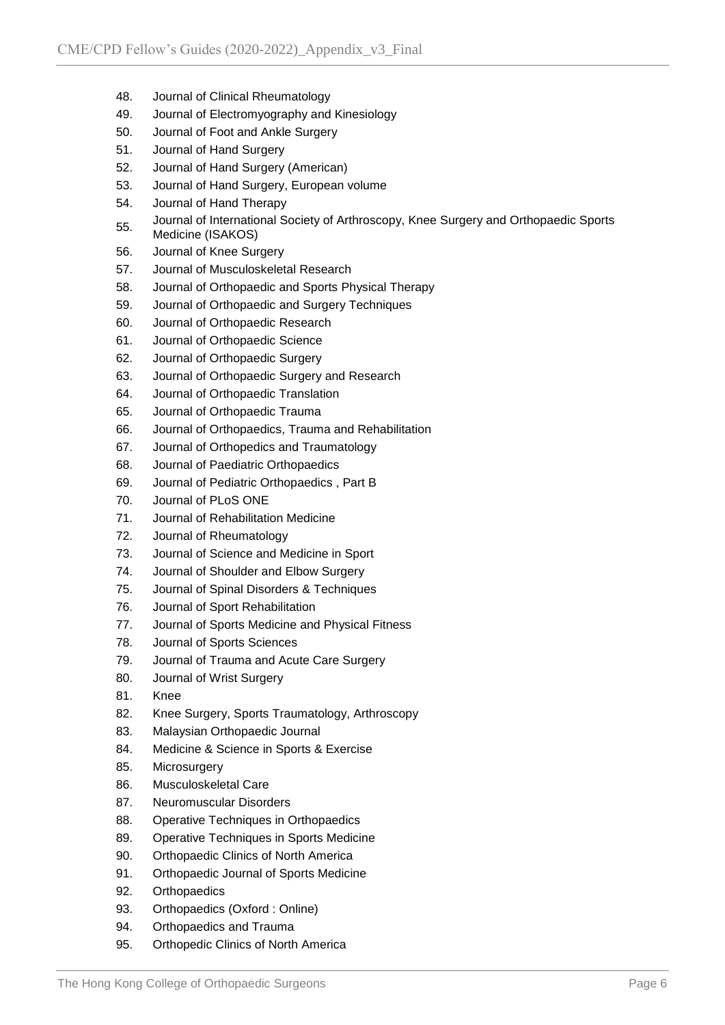- 48. Journal of Clinical Rheumatology
- 49. Journal of Electromyography and Kinesiology
- 50. Journal of Foot and Ankle Surgery
- 51. Journal of Hand Surgery
- 52. Journal of Hand Surgery (American)
- 53. Journal of Hand Surgery, European volume
- 54. Journal of Hand Therapy
- 55. Journal of International Society of Arthroscopy, Knee Surgery and Orthopaedic Sports Medicine (ISAKOS)
- 56. Journal of Knee Surgery
- 57. Journal of Musculoskeletal Research
- 58. Journal of Orthopaedic and Sports Physical Therapy
- 59. Journal of Orthopaedic and Surgery Techniques
- 60. Journal of Orthopaedic Research
- 61. Journal of Orthopaedic Science
- 62. Journal of Orthopaedic Surgery
- 63. Journal of Orthopaedic Surgery and Research
- 64. Journal of Orthopaedic Translation
- 65. Journal of Orthopaedic Trauma
- 66. Journal of Orthopaedics, Trauma and Rehabilitation
- 67. Journal of Orthopedics and Traumatology
- 68. Journal of Paediatric Orthopaedics
- 69. Journal of Pediatric Orthopaedics , Part B
- 70. Journal of PLoS ONE
- 71. Journal of Rehabilitation Medicine
- 72. Journal of Rheumatology
- 73. Journal of Science and Medicine in Sport
- 74. Journal of Shoulder and Elbow Surgery
- 75. Journal of Spinal Disorders & Techniques
- 76. Journal of Sport Rehabilitation
- 77. Journal of Sports Medicine and Physical Fitness
- 78. Journal of Sports Sciences
- 79. Journal of Trauma and Acute Care Surgery
- 80. Journal of Wrist Surgery
- 81. Knee
- 82. Knee Surgery, Sports Traumatology, Arthroscopy
- 83. Malaysian Orthopaedic Journal
- 84. Medicine & Science in Sports & Exercise
- 85. Microsurgery
- 86. Musculoskeletal Care
- 87. Neuromuscular Disorders
- 88. Operative Techniques in Orthopaedics
- 89. Operative Techniques in Sports Medicine
- 90. Orthopaedic Clinics of North America
- 91. Orthopaedic Journal of Sports Medicine
- 92. Orthopaedics
- 93. Orthopaedics (Oxford : Online)
- 94. Orthopaedics and Trauma
- 95. Orthopedic Clinics of North America